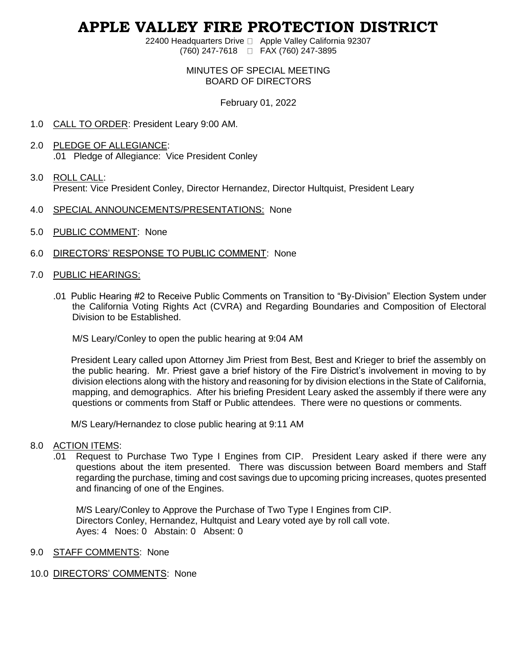# **APPLE VALLEY FIRE PROTECTION DISTRICT**

22400 Headquarters Drive □ Apple Valley California 92307 (760) 247-7618 FAX (760) 247-3895

### MINUTES OF SPECIAL MEETING BOARD OF DIRECTORS

February 01, 2022

- 1.0 CALL TO ORDER: President Leary 9:00 AM.
- 2.0 PLEDGE OF ALLEGIANCE: .01 Pledge of Allegiance: Vice President Conley
- 3.0 ROLL CALL: Present: Vice President Conley, Director Hernandez, Director Hultquist, President Leary
- 4.0 SPECIAL ANNOUNCEMENTS/PRESENTATIONS: None
- 5.0 PUBLIC COMMENT: None
- 6.0 DIRECTORS' RESPONSE TO PUBLIC COMMENT: None
- 7.0 PUBLIC HEARINGS:
	- .01 Public Hearing #2 to Receive Public Comments on Transition to "By-Division" Election System under the California Voting Rights Act (CVRA) and Regarding Boundaries and Composition of Electoral Division to be Established.

M/S Leary/Conley to open the public hearing at 9:04 AM

President Leary called upon Attorney Jim Priest from Best, Best and Krieger to brief the assembly on the public hearing. Mr. Priest gave a brief history of the Fire District's involvement in moving to by division elections along with the history and reasoning for by division elections in the State of California, mapping, and demographics. After his briefing President Leary asked the assembly if there were any questions or comments from Staff or Public attendees. There were no questions or comments.

M/S Leary/Hernandez to close public hearing at 9:11 AM

#### 8.0 ACTION ITEMS:

.01 Request to Purchase Two Type I Engines from CIP. President Leary asked if there were any questions about the item presented. There was discussion between Board members and Staff regarding the purchase, timing and cost savings due to upcoming pricing increases, quotes presented and financing of one of the Engines.

M/S Leary/Conley to Approve the Purchase of Two Type I Engines from CIP. Directors Conley, Hernandez, Hultquist and Leary voted aye by roll call vote. Ayes: 4 Noes: 0 Abstain: 0 Absent: 0

- 9.0 STAFF COMMENTS: None
- 10.0 DIRECTORS' COMMENTS: None